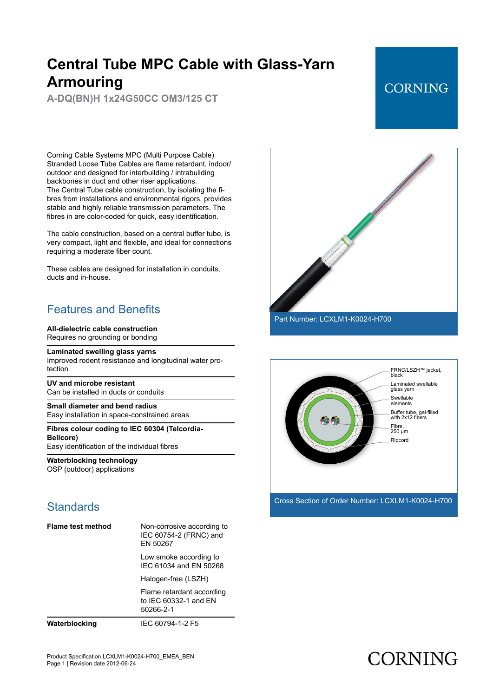**A-DQ(BN)H 1x24G50CC OM3/125 CT**

### **CORNING**

Corning Cable Systems MPC (Multi Purpose Cable) Stranded Loose Tube Cables are flame retardant, indoor/ outdoor and designed for interbuilding / intrabuilding backbones in duct and other riser applications. The Central Tube cable construction, by isolating the fibres from installations and environmental rigors, provides stable and highly reliable transmission parameters. The fibres in are color-coded for quick, easy identification.

The cable construction, based on a central buffer tube, is very compact, light and flexible, and ideal for connections requiring a moderate fiber count.

These cables are designed for installation in conduits, ducts and in-house.

### Features and Benefits

#### **All-dielectric cable construction**

Requires no grounding or bonding

**Laminated swelling glass yarns**

Improved rodent resistance and longitudinal water protection

**UV and microbe resistant** Can be installed in ducts or conduits

**Small diameter and bend radius** Easy installation in space-constrained areas

**Fibres colour coding to IEC 60304 (Telcordia-Bellcore)** Easy identification of the individual fibres

**Waterblocking technology** OSP (outdoor) applications

### **Standards**

| <b>Flame test method</b> | Non-corrosive according to<br>IEC 60754-2 (FRNC) and<br>FN 50267 |
|--------------------------|------------------------------------------------------------------|
|                          | Low smoke according to<br>IFC 61034 and FN 50268                 |
|                          | Halogen-free (LSZH)                                              |
|                          | Flame retardant according<br>to IEC 60332-1 and EN<br>50266-2-1  |
|                          |                                                                  |

**Waterblocking** IEC 60794-1-2 F5





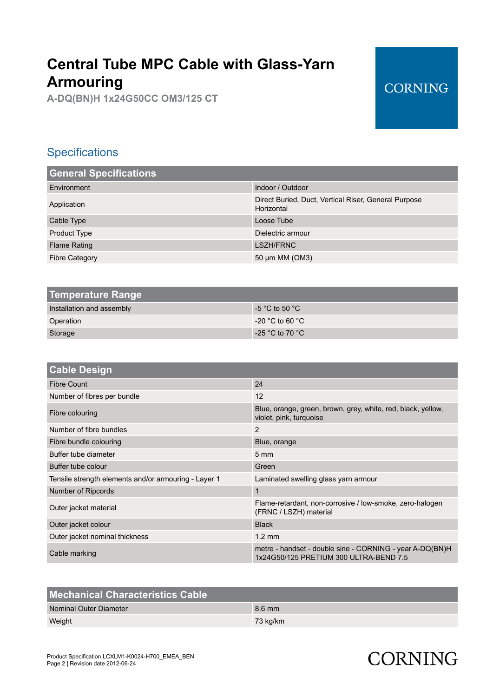**A-DQ(BN)H 1x24G50CC OM3/125 CT**

### **CORNING**

### **Specifications**

| <b>General Specifications</b> |                                                                    |
|-------------------------------|--------------------------------------------------------------------|
| Environment                   | Indoor / Outdoor                                                   |
| Application                   | Direct Buried, Duct, Vertical Riser, General Purpose<br>Horizontal |
| Cable Type                    | Loose Tube                                                         |
| <b>Product Type</b>           | Dielectric armour                                                  |
| <b>Flame Rating</b>           | LSZH/FRNC                                                          |
| Fibre Category                | 50 µm MM (OM3)                                                     |

| Temperature Range         |                                     |
|---------------------------|-------------------------------------|
| Installation and assembly | $-5$ °C to 50 °C                    |
| Operation                 | $-20$ °C to 60 °C                   |
| Storage                   | -25 $^{\circ}$ C to 70 $^{\circ}$ C |
|                           |                                     |

| <b>Cable Design</b>                                  |                                                                                                    |
|------------------------------------------------------|----------------------------------------------------------------------------------------------------|
| Fibre Count                                          | 24                                                                                                 |
| Number of fibres per bundle                          | 12                                                                                                 |
| Fibre colouring                                      | Blue, orange, green, brown, grey, white, red, black, yellow,<br>violet, pink, turquoise            |
| Number of fibre bundles                              | 2                                                                                                  |
| Fibre bundle colouring                               | Blue, orange                                                                                       |
| Buffer tube diameter                                 | $5 \text{ mm}$                                                                                     |
| Buffer tube colour                                   | Green                                                                                              |
| Tensile strength elements and/or armouring - Layer 1 | Laminated swelling glass yarn armour                                                               |
| Number of Ripcords                                   | $\mathbf{1}$                                                                                       |
| Outer jacket material                                | Flame-retardant, non-corrosive / low-smoke, zero-halogen<br>(FRNC / LSZH) material                 |
| Outer jacket colour                                  | <b>Black</b>                                                                                       |
| Outer jacket nominal thickness                       | $1.2 \text{ mm}$                                                                                   |
| Cable marking                                        | metre - handset - double sine - CORNING - year A-DQ(BN)H<br>1x24G50/125 PRETIUM 300 ULTRA-BEND 7.5 |
|                                                      |                                                                                                    |

| <b>Mechanical Characteristics Cable</b> |          |
|-----------------------------------------|----------|
| Nominal Outer Diameter                  | 8.6 mm   |
| Weight                                  | 73 kg/km |
|                                         |          |

# **CORNING**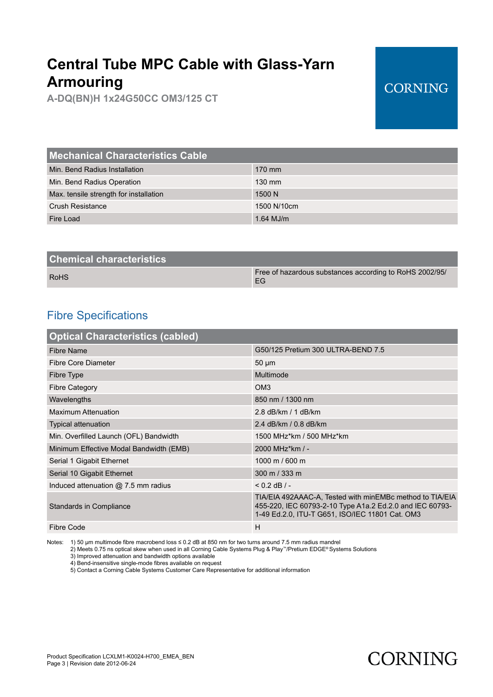**A-DQ(BN)H 1x24G50CC OM3/125 CT**

### **CORNING**

| <b>Mechanical Characteristics Cable</b> |                  |
|-----------------------------------------|------------------|
| Min. Bend Radius Installation           | $170$ mm         |
| Min. Bend Radius Operation              | $130 \text{ mm}$ |
| Max. tensile strength for installation  | 1500 N           |
| <b>Crush Resistance</b>                 | 1500 N/10cm      |
| Fire Load                               | $1.64$ MJ/m      |
|                                         |                  |

| <b>Chemical characteristics</b> |                                                               |
|---------------------------------|---------------------------------------------------------------|
| <b>RoHS</b>                     | Free of hazardous substances according to RoHS 2002/95/<br>FG |
|                                 |                                                               |

### Fibre Specifications

| <b>Optical Characteristics (cabled)</b> |                                                                                                                                                                         |
|-----------------------------------------|-------------------------------------------------------------------------------------------------------------------------------------------------------------------------|
| Fibre Name                              | G50/125 Pretium 300 ULTRA-BEND 7.5                                                                                                                                      |
| Fibre Core Diameter                     | $50 \mu m$                                                                                                                                                              |
| Fibre Type                              | Multimode                                                                                                                                                               |
| <b>Fibre Category</b>                   | OM <sub>3</sub>                                                                                                                                                         |
| Wavelengths                             | 850 nm / 1300 nm                                                                                                                                                        |
| <b>Maximum Attenuation</b>              | 2.8 dB/km / 1 dB/km                                                                                                                                                     |
| <b>Typical attenuation</b>              | 2.4 dB/km / 0.8 dB/km                                                                                                                                                   |
| Min. Overfilled Launch (OFL) Bandwidth  | 1500 MHz*km / 500 MHz*km                                                                                                                                                |
| Minimum Effective Modal Bandwidth (EMB) | 2000 MHz*km / -                                                                                                                                                         |
| Serial 1 Gigabit Ethernet               | 1000 m / 600 m                                                                                                                                                          |
| Serial 10 Gigabit Ethernet              | 300 m / 333 m                                                                                                                                                           |
| Induced attenuation $@$ 7.5 mm radius   | $< 0.2$ dB $/ -$                                                                                                                                                        |
| Standards in Compliance                 | TIA/EIA 492AAAC-A, Tested with minEMBc method to TIA/EIA<br>455-220, IEC 60793-2-10 Type A1a.2 Ed.2.0 and IEC 60793-<br>1-49 Ed.2.0, ITU-T G651, ISO/IEC 11801 Cat. OM3 |
| Fibre Code                              | H                                                                                                                                                                       |

Notes: 1) 50 μm multimode fibre macrobend loss ≤ 0.2 dB at 850 nm for two turns around 7.5 mm radius mandrel

2) Meets 0.75 ns optical skew when used in all Corning Cable Systems Plug & Play™/Pretium EDGE® Systems Solutions

3) Improved attenuation and bandwidth options available

4) Bend-insensitive single-mode fibres available on request

5) Contact a Corning Cable Systems Customer Care Representative for additional information